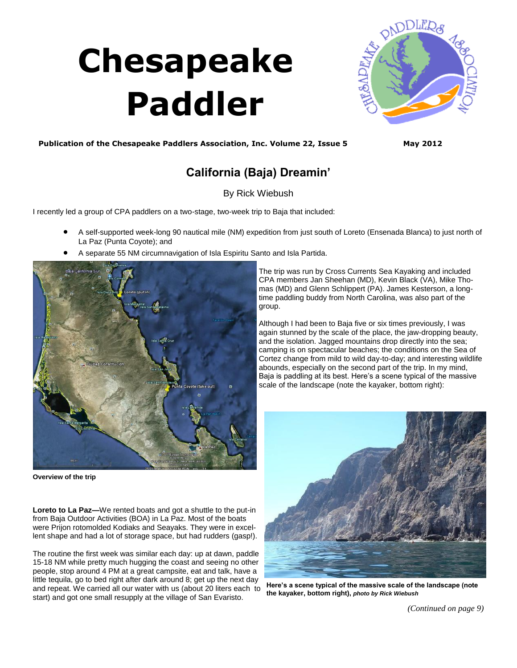# **Chesapeake Paddler**



### **Publication of the Chesapeake Paddlers Association, Inc. Volume 22, Issue 5 May 2012**

## **California (Baja) Dreamin'**

By Rick Wiebush

I recently led a group of CPA paddlers on a two-stage, two-week trip to Baja that included:

- A self-supported week-long 90 nautical mile (NM) expedition from just south of Loreto (Ensenada Blanca) to just north of La Paz (Punta Coyote); and
- A separate 55 NM circumnavigation of Isla Espiritu Santo and Isla Partida.



**Overview of the trip**

**Loreto to La Paz—**We rented boats and got a shuttle to the put-in from Baja Outdoor Activities (BOA) in La Paz. Most of the boats were Prijon rotomolded Kodiaks and Seayaks. They were in excellent shape and had a lot of storage space, but had rudders (gasp!).

The routine the first week was similar each day: up at dawn, paddle 15-18 NM while pretty much hugging the coast and seeing no other people, stop around 4 PM at a great campsite, eat and talk, have a little tequila, go to bed right after dark around 8; get up the next day and repeat. We carried all our water with us (about 20 liters each to start) and got one small resupply at the village of San Evaristo.

The trip was run by Cross Currents Sea Kayaking and included CPA members Jan Sheehan (MD), Kevin Black (VA), Mike Thomas (MD) and Glenn Schlippert (PA). James Kesterson, a longtime paddling buddy from North Carolina, was also part of the group.

Although I had been to Baja five or six times previously, I was again stunned by the scale of the place, the jaw-dropping beauty, and the isolation. Jagged mountains drop directly into the sea; camping is on spectacular beaches; the conditions on the Sea of Cortez change from mild to wild day-to-day; and interesting wildlife abounds, especially on the second part of the trip. In my mind, Baja is paddling at its best. Here's a scene typical of the massive scale of the landscape (note the kayaker, bottom right):



**Here's a scene typical of the massive scale of the landscape (note the kayaker, bottom right),** *photo by Rick Wiebush*

*[\(Continued on page 9\)](#page-1-0)*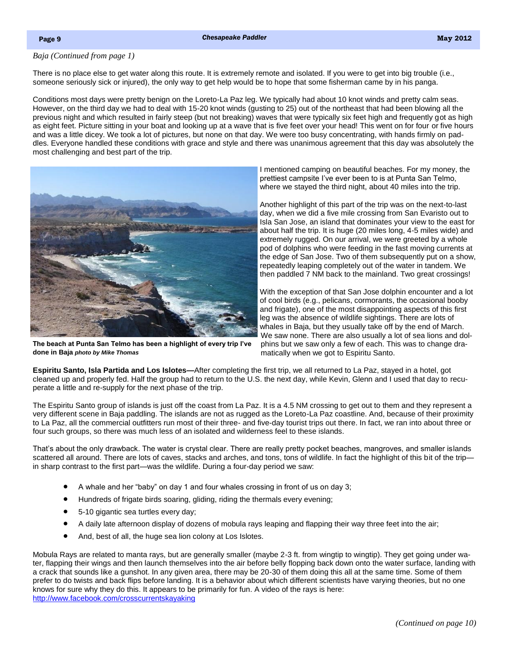#### <span id="page-1-0"></span>*Baja (Continued from page 1)*

There is no place else to get water along this route. It is extremely remote and isolated. If you were to get into big trouble (i.e., someone seriously sick or injured), the only way to get help would be to hope that some fisherman came by in his panga.

Conditions most days were pretty benign on the Loreto-La Paz leg. We typically had about 10 knot winds and pretty calm seas. However, on the third day we had to deal with 15-20 knot winds (gusting to 25) out of the northeast that had been blowing all the previous night and which resulted in fairly steep (but not breaking) waves that were typically six feet high and frequently got as high as eight feet. Picture sitting in your boat and looking up at a wave that is five feet over your head! This went on for four or five hours and was a little dicey. We took a lot of pictures, but none on that day. We were too busy concentrating, with hands firmly on paddles. Everyone handled these conditions with grace and style and there was unanimous agreement that this day was absolutely the most challenging and best part of the trip.



**The beach at Punta San Telmo has been a highlight of every trip I've done in Baja** *photo by Mike Thomas*

I mentioned camping on beautiful beaches. For my money, the prettiest campsite I've ever been to is at Punta San Telmo, where we stayed the third night, about 40 miles into the trip.

Another highlight of this part of the trip was on the next-to-last day, when we did a five mile crossing from San Evaristo out to Isla San Jose, an island that dominates your view to the east for about half the trip. It is huge (20 miles long, 4-5 miles wide) and extremely rugged. On our arrival, we were greeted by a whole pod of dolphins who were feeding in the fast moving currents at the edge of San Jose. Two of them subsequently put on a show, repeatedly leaping completely out of the water in tandem. We then paddled 7 NM back to the mainland. Two great crossings!

With the exception of that San Jose dolphin encounter and a lot of cool birds (e.g., pelicans, cormorants, the occasional booby and frigate), one of the most disappointing aspects of this first leg was the absence of wildlife sightings. There are lots of whales in Baja, but they usually take off by the end of March. We saw none. There are also usually a lot of sea lions and dolphins but we saw only a few of each. This was to change dramatically when we got to Espiritu Santo.

**Espiritu Santo, Isla Partida and Los Islotes—**After completing the first trip, we all returned to La Paz, stayed in a hotel, got cleaned up and properly fed. Half the group had to return to the U.S. the next day, while Kevin, Glenn and I used that day to recuperate a little and re-supply for the next phase of the trip.

The Espiritu Santo group of islands is just off the coast from La Paz. It is a 4.5 NM crossing to get out to them and they represent a very different scene in Baja paddling. The islands are not as rugged as the Loreto-La Paz coastline. And, because of their proximity to La Paz, all the commercial outfitters run most of their three- and five-day tourist trips out there. In fact, we ran into about three or four such groups, so there was much less of an isolated and wilderness feel to these islands.

That's about the only drawback. The water is crystal clear. There are really pretty pocket beaches, mangroves, and smaller islands scattered all around. There are lots of caves, stacks and arches, and tons, tons of wildlife. In fact the highlight of this bit of the trip in sharp contrast to the first part—was the wildlife. During a four-day period we saw:

- A whale and her "baby" on day 1 and four whales crossing in front of us on day 3;
- Hundreds of frigate birds soaring, gliding, riding the thermals every evening;
- 5-10 gigantic sea turtles every day;
- A daily late afternoon display of dozens of mobula rays leaping and flapping their way three feet into the air;
- And, best of all, the huge sea lion colony at Los Islotes.

Mobula Rays are related to manta rays, but are generally smaller (maybe 2-3 ft. from wingtip to wingtip). They get going under water, flapping their wings and then launch themselves into the air before belly flopping back down onto the water surface, landing with a crack that sounds like a gunshot. In any given area, there may be 20-30 of them doing this all at the same time. Some of them prefer to do twists and back flips before landing. It is a behavior about which different scientists have varying theories, but no one knows for sure why they do this. It appears to be primarily for fun. A video of the rays is here: <http://www.facebook.com/crosscurrentskayaking>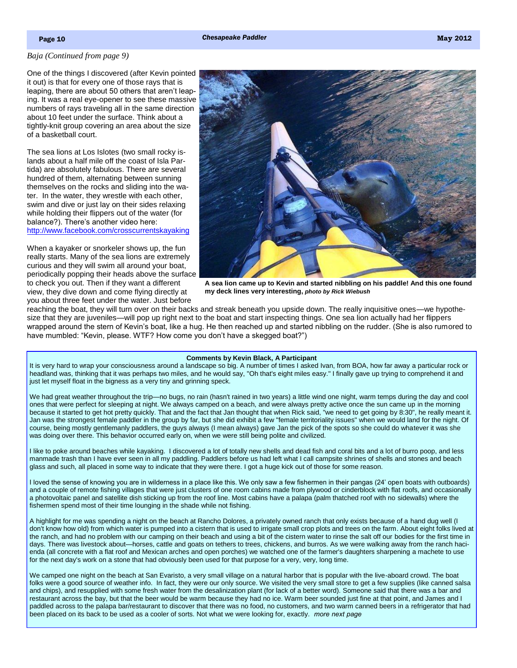#### <span id="page-2-0"></span>*[Baja \(Continued from page 9\)](#page-1-0)*

One of the things I discovered (after Kevin pointed it out) is that for every one of those rays that is leaping, there are about 50 others that aren't leaping. It was a real eye-opener to see these massive numbers of rays traveling all in the same direction about 10 feet under the surface. Think about a tightly-knit group covering an area about the size of a basketball court.

The sea lions at Los Islotes (two small rocky islands about a half mile off the coast of Isla Partida) are absolutely fabulous. There are several hundred of them, alternating between sunning themselves on the rocks and sliding into the water. In the water, they wrestle with each other, swim and dive or just lay on their sides relaxing while holding their flippers out of the water (for balance?). There's another video here: <http://www.facebook.com/crosscurrentskayaking>

When a kayaker or snorkeler shows up, the fun really starts. Many of the sea lions are extremely curious and they will swim all around your boat, periodically popping their heads above the surface to check you out. Then if they want a different view, they dive down and come flying directly at you about three feet under the water. Just before



**A sea lion came up to Kevin and started nibbling on his paddle! And this one found my deck lines very interesting,** *photo by Rick Wiebush*

reaching the boat, they will turn over on their backs and streak beneath you upside down. The really inquisitive ones—we hypothesize that they are juveniles—will pop up right next to the boat and start inspecting things. One sea lion actually had her flippers wrapped around the stern of Kevin's boat, like a hug. He then reached up and started nibbling on the rudder. (She is also rumored to have mumbled: "Kevin, please. WTF? How come you don't have a skegged boat?")

#### **Comments by Kevin Black, A Participant**

It is very hard to wrap your consciousness around a landscape so big. A number of times I asked Ivan, from BOA, how far away a particular rock or headland was, thinking that it was perhaps two miles, and he would say, "Oh that's eight miles easy." I finally gave up trying to comprehend it and just let myself float in the bigness as a very tiny and grinning speck.

We had great weather throughout the trip—no bugs, no rain (hasn't rained in two years) a little wind one night, warm temps during the day and cool ones that were perfect for sleeping at night. We always camped on a beach, and were always pretty active once the sun came up in the morning because it started to get hot pretty quickly. That and the fact that Jan thought that when Rick said, "we need to get going by 8:30", he really meant it. Jan was the strongest female paddler in the group by far, but she did exhibit a few "female territoriality issues" when we would land for the night. Of course, being mostly gentlemanly paddlers, the guys always (I mean always) gave Jan the pick of the spots so she could do whatever it was she was doing over there. This behavior occurred early on, when we were still being polite and civilized.

I like to poke around beaches while kayaking. I discovered a lot of totally new shells and dead fish and coral bits and a lot of burro poop, and less manmade trash than I have ever seen in all my paddling. Paddlers before us had left what I call campsite shrines of shells and stones and beach glass and such, all placed in some way to indicate that they were there. I got a huge kick out of those for some reason.

I loved the sense of knowing you are in wilderness in a place like this. We only saw a few fishermen in their pangas (24' open boats with outboards) and a couple of remote fishing villages that were just clusters of one room cabins made from plywood or cinderblock with flat roofs, and occasionally a photovoltaic panel and satellite dish sticking up from the roof line. Most cabins have a palapa (palm thatched roof with no sidewalls) where the fishermen spend most of their time lounging in the shade while not fishing.

A highlight for me was spending a night on the beach at Rancho Dolores, a privately owned ranch that only exists because of a hand dug well (I don't know how old) from which water is pumped into a cistern that is used to irrigate small crop plots and trees on the farm. About eight folks lived at the ranch, and had no problem with our camping on their beach and using a bit of the cistern water to rinse the salt off our bodies for the first time in days. There was livestock about—horses, cattle and goats on tethers to trees, chickens, and burros. As we were walking away from the ranch hacienda (all concrete with a flat roof and Mexican arches and open porches) we watched one of the farmer's daughters sharpening a machete to use for the next day's work on a stone that had obviously been used for that purpose for a very, very, long time.

We camped one night on the beach at San Evaristo, a very small village on a natural harbor that is popular with the live-aboard crowd. The boat folks were a good source of weather info. In fact, they were our only source. We visited the very small store to get a few supplies (like canned salsa and chips), and resupplied with some fresh water from the desalinization plant (for lack of a better word). Someone said that there was a bar and restaurant across the bay, but that the beer would be warm because they had no ice. Warm beer sounded just fine at that point, and James and I paddled across to the palapa bar/restaurant to discover that there was no food, no customers, and two warm canned beers in a refrigerator that had been placed on its back to be used as a cooler of sorts. Not what we were looking for, exactly. *more next page*